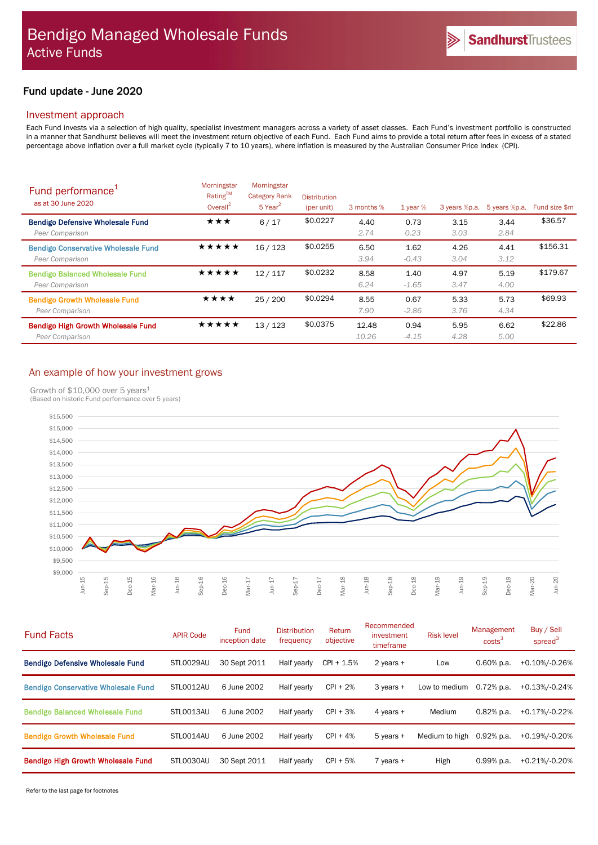# Fund update - June 2020

## Investment approach

Each Fund invests via a selection of high quality, specialist investment managers across a variety of asset classes. Each Fund's investment portfolio is constructed in a manner that Sandhurst believes will meet the investment return objective of each Fund. Each Fund aims to provide a total return after fees in excess of a stated percentage above inflation over a full market cycle (typically 7 to 10 years), where inflation is measured by the Australian Consumer Price Index (CPI).

| Fund performance <sup>1</sup><br>as at 30 June 2020           | Morningstar<br>Rating <sup>TM</sup><br>Overall $^2$ | Morningstar<br><b>Category Rank</b><br>$5$ Year <sup>2</sup> | <b>Distribution</b><br>(per unit) | 3 months %     | $1$ year %      | 3 years %p.a. | 5 years %p.a. | Fund size \$m |
|---------------------------------------------------------------|-----------------------------------------------------|--------------------------------------------------------------|-----------------------------------|----------------|-----------------|---------------|---------------|---------------|
| <b>Bendigo Defensive Wholesale Fund</b><br>Peer Comparison    | ★★★                                                 | 6/17                                                         | \$0.0227                          | 4.40<br>2.74   | 0.73<br>0.23    | 3.15<br>3.03  | 3.44<br>2.84  | \$36.57       |
| <b>Bendigo Conservative Wholesale Fund</b><br>Peer Comparison | ★★★★★                                               | 16/123                                                       | \$0.0255                          | 6.50<br>3.94   | 1.62<br>$-0.43$ | 4.26<br>3.04  | 4.41<br>3.12  | \$156.31      |
| <b>Bendigo Balanced Wholesale Fund</b><br>Peer Comparison     | ★★★★★                                               | 12/117                                                       | \$0.0232                          | 8.58<br>6.24   | 1.40<br>$-1.65$ | 4.97<br>3.47  | 5.19<br>4.00  | \$179.67      |
| <b>Bendigo Growth Wholesale Fund</b><br>Peer Comparison       | ★★★★                                                | 25/200                                                       | \$0.0294                          | 8.55<br>7.90   | 0.67<br>$-2.86$ | 5.33<br>3.76  | 5.73<br>4.34  | \$69.93       |
| <b>Bendigo High Growth Wholesale Fund</b><br>Peer Comparison  | ★★★★★                                               | 13/123                                                       | \$0.0375                          | 12.48<br>10.26 | 0.94<br>$-4.15$ | 5.95<br>4.28  | 6.62<br>5.00  | \$22.86       |

# An example of how your investment grows

Growth of \$10,000 over 5 years<sup>1</sup>



| <b>Fund Facts</b>                          | <b>APIR Code</b> | <b>Fund</b><br>inception date | <b>Distribution</b><br>frequency | Return<br>objective | Recommended<br>investment<br>timeframe | <b>Risk level</b> | Management<br>costs <sup>3</sup> | Buy / Sell<br>spread $3$ |
|--------------------------------------------|------------------|-------------------------------|----------------------------------|---------------------|----------------------------------------|-------------------|----------------------------------|--------------------------|
| <b>Bendigo Defensive Wholesale Fund</b>    | STL0029AU        | 30 Sept 2011                  | Half yearly                      | $CPI + 1.5%$        | 2 years $+$                            | Low               | $0.60\%$ p.a.                    | +0.10%/-0.26%            |
| <b>Bendigo Conservative Wholesale Fund</b> | STLO012AU        | 6 June 2002                   | Half yearly                      | $CPI + 2%$          | $3$ years $+$                          | Low to medium     | $0.72%$ p.a.                     | +0.13%/-0.24%            |
| <b>Bendigo Balanced Wholesale Fund</b>     | STLO013AU        | 6 June 2002                   | Half yearly                      | $\text{CPI} + 3\%$  | 4 years $+$                            | Medium            | $0.82%$ p.a.                     | +0.17%/-0.22%            |
| <b>Bendigo Growth Wholesale Fund</b>       | STLO014AU        | 6 June 2002                   | Half yearly                      | $CPI + 4%$          | $5$ years $+$                          | Medium to high    | $0.92%$ p.a.                     | +0.19%/-0.20%            |
| <b>Bendigo High Growth Wholesale Fund</b>  | STL0030AU        | 30 Sept 2011                  | Half yearly                      | $CPI + 5%$          | $7$ years $+$                          | High              | $0.99%$ p.a.                     | +0.21%/-0.20%            |

Refer to the last page for footnotes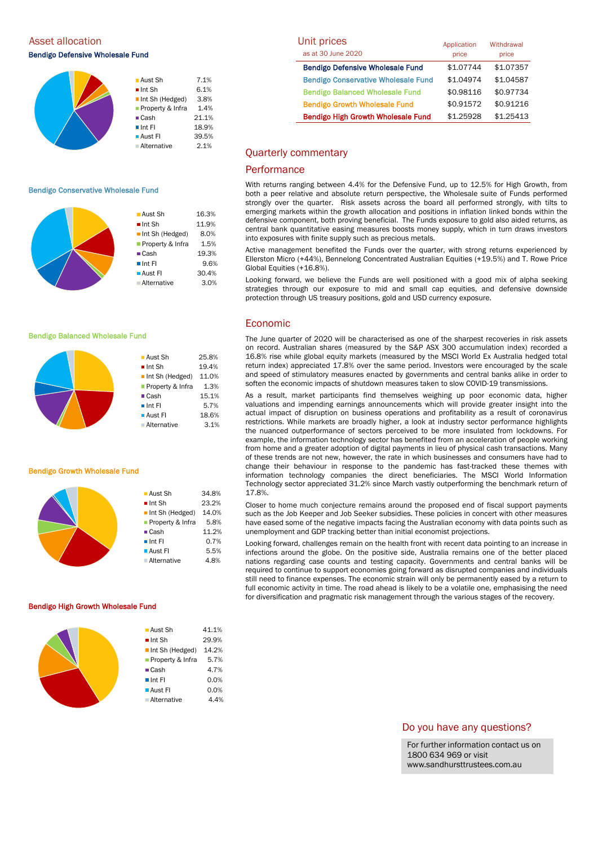Asset allocation

Bendigo Defensive Wholesale Fund

| $\blacksquare$ Aust Sh | 7.1%  |
|------------------------|-------|
| $\blacksquare$ Int Sh  | 6.1%  |
| Int Sh (Hedged)        | 3.8%  |
| Property & Infra       | 1.4%  |
| $\blacksquare$ Cash    | 21.1% |
| $\blacksquare$ Int Fl  | 18.9% |
| <b>Aust Fl</b>         | 39.5% |
| <b>Alternative</b>     | 2.1%  |

#### Bendigo Conservative Wholesale Fund



■ Aust Sh 25.8%  $\blacksquare$  Int Sh  $19.4\%$ Int Sh (Hedged) 11.0% Property & Infra 1.3% ■ Cash 15.1%  $\blacksquare$  Int FI 5.7% **Aust FI** 18.6% Alternative 3.1%

### Bendigo Balanced Wholesale Fund



#### Bendigo Growth Wholesale Fund

|  | ■Aust Sh                       | 34.8% |
|--|--------------------------------|-------|
|  | $\blacksquare$ Int Sh          | 23.2% |
|  | $\blacksquare$ Int Sh (Hedged) | 14.0% |
|  | Property & Infra               | 5.8%  |
|  | $\blacksquare$ Cash            | 11.2% |
|  | $\blacksquare$ Int Fl          | 0.7%  |
|  | ■ Aust Fl                      | 5.5%  |
|  | <b>Alternative</b>             | 4.8%  |
|  |                                |       |

#### Bendigo High Growth Wholesale Fund

| ■ Aust Sh                      | 41.1% |
|--------------------------------|-------|
| $\blacksquare$ Int Sh          | 29.9% |
| $\blacksquare$ Int Sh (Hedged) | 14.2% |
| ■ Property & Infra             | 5.7%  |
| $\blacksquare$ Cash            | 4.7%  |
| $\blacksquare$ Int FI          | 0.0%  |
| $\blacksquare$ Aust FI         | 0.0%  |
| <b>Alternative</b>             | 4.4%  |
|                                |       |

| Unit prices<br>as at 30 June 2020          | Application        | Withdrawal         |  |
|--------------------------------------------|--------------------|--------------------|--|
| <b>Bendigo Defensive Wholesale Fund</b>    | price<br>\$1.07744 | price<br>\$1.07357 |  |
| <b>Bendigo Conservative Wholesale Fund</b> | \$1.04974          | \$1.04587          |  |
| <b>Bendigo Balanced Wholesale Fund</b>     | \$0.98116          | \$0.97734          |  |
| <b>Bendigo Growth Wholesale Fund</b>       | \$0.91572          | \$0.91216          |  |
| <b>Bendigo High Growth Wholesale Fund</b>  | \$1.25928          | \$1.25413          |  |

### Quarterly commentary

### **Performance**

With returns ranging between 4.4% for the Defensive Fund, up to 12.5% for High Growth, from both a peer relative and absolute return perspective, the Wholesale suite of Funds performed strongly over the quarter. Risk assets across the board all performed strongly, with tilts to emerging markets within the growth allocation and positions in inflation linked bonds within the defensive component, both proving beneficial. The Funds exposure to gold also aided returns, as central bank quantitative easing measures boosts money supply, which in turn draws investors into exposures with finite supply such as precious metals.

Active management benefited the Funds over the quarter, with strong returns experienced by Ellerston Micro (+44%), Bennelong Concentrated Australian Equities (+19.5%) and T. Rowe Price Global Equities (+16.8%).

Looking forward, we believe the Funds are well positioned with a good mix of alpha seeking strategies through our exposure to mid and small cap equities, and defensive downside protection through US treasury positions, gold and USD currency exposure.

### Economic

The June quarter of 2020 will be characterised as one of the sharpest recoveries in risk assets on record. Australian shares (measured by the S&P ASX 300 accumulation index) recorded a 16.8% rise while global equity markets (measured by the MSCI World Ex Australia hedged total return index) appreciated 17.8% over the same period. Investors were encouraged by the scale and speed of stimulatory measures enacted by governments and central banks alike in order to soften the economic impacts of shutdown measures taken to slow COVID-19 transmissions.

As a result, market participants find themselves weighing up poor economic data, higher valuations and impending earnings announcements which will provide greater insight into the actual impact of disruption on business operations and profitability as a result of coronavirus restrictions. While markets are broadly higher, a look at industry sector performance highlights the nuanced outperformance of sectors perceived to be more insulated from lockdowns. For example, the information technology sector has benefited from an acceleration of people working from home and a greater adoption of digital payments in lieu of physical cash transactions. Many of these trends are not new, however, the rate in which businesses and consumers have had to change their behaviour in response to the pandemic has fast-tracked these themes with information technology companies the direct beneficiaries. The MSCI World Information Technology sector appreciated 31.2% since March vastly outperforming the benchmark return of 17.8%.

Closer to home much conjecture remains around the proposed end of fiscal support payments such as the Job Keeper and Job Seeker subsidies. These policies in concert with other measures have eased some of the negative impacts facing the Australian economy with data points such as unemployment and GDP tracking better than initial economist projections.

Looking forward, challenges remain on the health front with recent data pointing to an increase in infections around the globe. On the positive side, Australia remains one of the better placed nations regarding case counts and testing capacity. Governments and central banks will be required to continue to support economies going forward as disrupted companies and individuals still need to finance expenses. The economic strain will only be permanently eased by a return to full economic activity in time. The road ahead is likely to be a volatile one, emphasising the need for diversification and pragmatic risk management through the various stages of the recovery.

### Do you have any questions?

For further information contact us on 1800 634 969 or visit www.sandhursttrustees.com.au